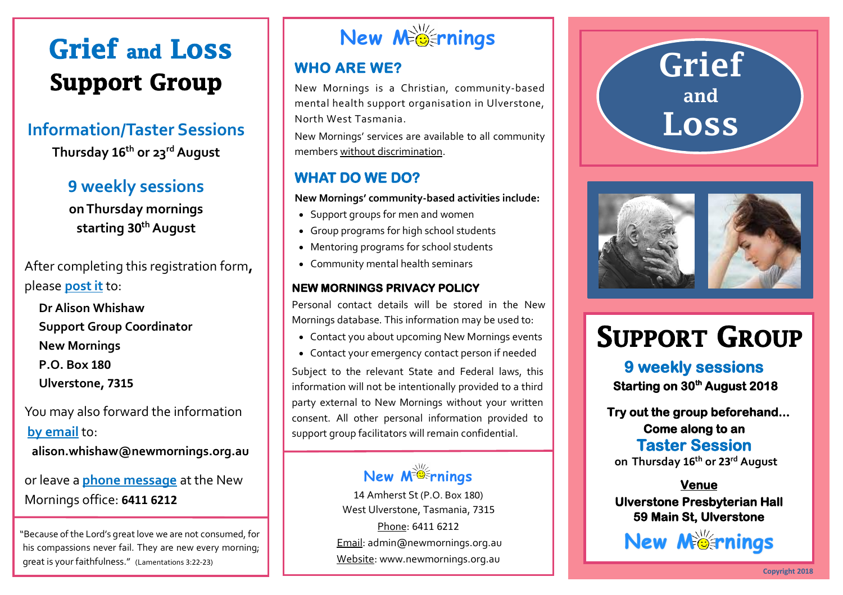# **Grief and LOSS Support Group**

## **Information/Taster Sessions Thursday 16th or 23rdAugust**

#### **9 weekly sessions on Thursday mornings starting 30thAugust**

After completing this registration form**,**  please **post it** to:

**Dr Alison Whishaw Support Group Coordinator New Mornings P.O. Box 180 Ulverstone, 7315**

#### You may also forward the information **by email** to:

**alison.whishaw@newmornings.org.au**

or leave a **phone message** at the New Mornings office: **6411 6212**

"Because of the Lord's great love we are not consumed, for his compassions never fail. They are new every morning; great is your faithfulness." (Lamentations 3:22-23)

# **New M rnings**

#### **WHO ARE WE?**

New Mornings is a Christian, community-based mental health support organisation in Ulverstone, North West Tasmania.

New Mornings' services are available to all community members without discrimination.

#### **WHAT DO WE DO?**

**New Mornings' community-based activities include:** 

- Support groups for men and women
- Group programs for high school students
- Mentoring programs for school students
- Community mental health seminars

#### **NEW MORNINGS PRIVACY POLICY**

Personal contact details will be stored in the New Mornings database. This information may be used to:

- Contact you about upcoming New Mornings events
- Contact your emergency contact person if needed

Subject to the relevant State and Federal laws, this information will not be intentionally provided to a third party external to New Mornings without your written consent. All other personal information provided to support group facilitators will remain confidential.

## **New M rnings**

14 Amherst St (P.O. Box 180) West Ulverstone, Tasmania, 7315 Phone: 6411 6212 Email: admin@newmornings.org.au Website: www.newmornings.org.au





# **SUPPORT GROUP**

**9 weekly sessions 9 weekly sessions Starting 30th August 2018 Starting on 30th August 2018** 

 **Try out the group beforehand... Try out the group beforehand... Come along to an Come along to an Taster Session Taster Session day 16<sup>th</sup> or 23<sup>t</sup> on Thursday 16th or 23rd August**

#### **Venue Venue**

#### **Ulverstone Presbyterian Hall Ulverstone Presbyterian Hall 59 Main St, Ulverstone 59 Main St, Ulverstone**